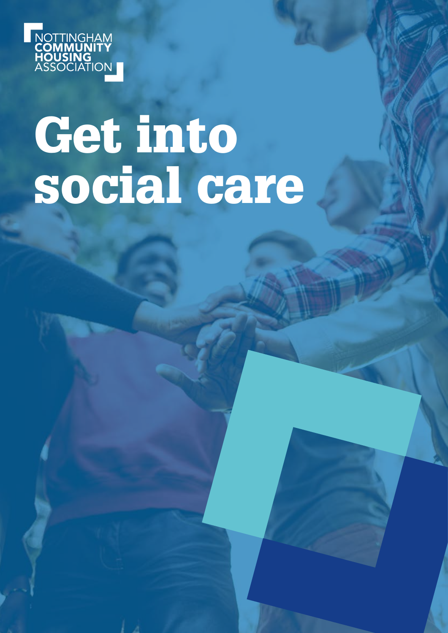

# Get into social care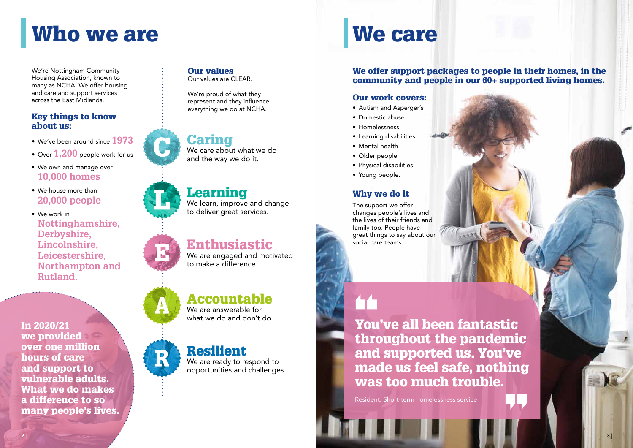## Who we are We care

We're Nottingham Community Housing Association, known to many as NCHA. We offer housing and care and support services across the East Midlands.

#### Key things to know about us:

- We've been around since **1973**
- Over **1,200** people work for us
- We own and manage over **10,000 homes**
- We house more than **20,000 people**
- We work in **Nottinghamshire, Derbyshire, Lincolnshire, Leicestershire, Northampton and Rutland.**

#### Our values

Our values are CLEAR.

We're proud of what they represent and they influence everything we do at NCHA.

Caring We care about what we do and the way we do it.

## Learning

We learn, improve and change to deliver great services.

### Enthusiastic

We are engaged and motivated to make a difference.

## Accountable

We are answerable for what we do and don't do.

## Resilient

R

We are ready to respond to opportunities and challenges.

#### We offer support packages to people in their homes, in the community and people in our 60+ supported living homes.

#### Our work covers:

- Autism and Asperger's
- Domestic abuse
- Homelessness
- Learning disabilities
- Mental health
- Older people
- Physical disabilities
- Young people.

You've all been fantastic throughout the pandemic and supported us. You've made us feel safe, nothing was too much trouble.

Resident, Short-term homelessness service



#### Why we do it

The support we offer changes people's lives and the lives of their friends and family too. People have great things to say about our social care teams...

In 2020/21 we provided over one million hours of care and support to vulnerable adults. What we do makes a difference to so many people's lives.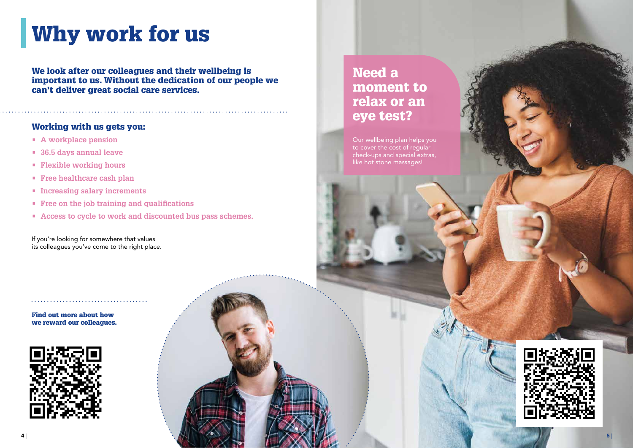## Why work for us



#### Need a moment to relax or an eye test?

Our wellbeing plan helps you to cover the cost of regular check-ups and special extras, like hot stone massages!

We look after our colleagues and their wellbeing is important to us. Without the dedication of our people we can't deliver great social care services.

#### Working with us gets you:

- **• A workplace pension**
- **• 36.5 days annual leave**
- **• Flexible working hours**
- **• Free healthcare cash plan**
- **• Increasing salary increments**
- **• Free on the job training and qualifications**
- **• Access to cycle to work and discounted bus pass schemes.**

If you're looking for somewhere that values its colleagues you've come to the right place.

. . . . . . . . . . . . . . . . . . .

Find out more about how we reward our colleagues.

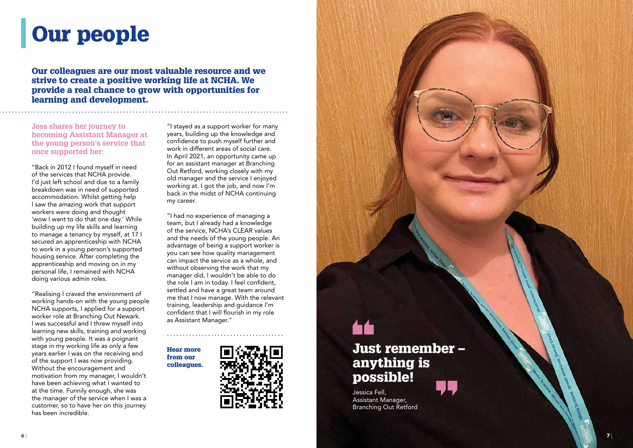# Our people

Our colleagues are our most valuable resource and we strive to create a positive working life at NCHA. We provide a real chance to grow with opportunities for learning and development.

**Jess shares her journey to becoming Assistant Manager at the young person's service that once supported her:**

"Back in 2012 I found myself in need of the services that NCHA provide. I'd just left school and due to a family breakdown was in need of supported accommodation. Whilst getting help I saw the amazing work that support workers were doing and thought 'wow I want to do that one day.' While building up my life skills and learning to manage a tenancy by myself, at 17 I secured an apprenticeship with NCHA to work in a young person's supported housing service. After completing the apprenticeship and moving on in my personal life, I remained with NCHA doing various admin roles.

"Realising I craved the environment of working hands-on with the young people NCHA supports, I applied for a support worker role at Branching Out Newark. I was successful and I threw myself into learning new skills, training and working with young people. It was a poignant stage in my working life as only a few years earlier I was on the receiving end of the support I was now providing. Without the encouragement and motivation from my manager, I wouldn't have been achieving what I wanted to at the time. Funnily enough, she was the manager of the service when I was a customer, so to have her on this journey has been incredible.

"I stayed as a support worker for many years, building up the knowledge and confidence to push myself further and work in different areas of social care. In April 2021, an opportunity came up for an assistant manager at Branching Out Retford, working closely with my old manager and the service I enjoyed working at. I got the job, and now I'm back in the midst of NCHA continuing my career.

"I had no experience of managing a team, but I already had a knowledge of the service, NCHA's CLEAR values and the needs of the young people. An advantage of being a support worker is you can see how quality management can impact the service as a whole, and without observing the work that my manager did, I wouldn't be able to do the role I am in today. I feel confident, settled and have a great team around me that I now manage. With the relevant training, leadership and guidance I'm confident that I will flourish in my role as Assistant Manager."

Hear more from our colleagues.





# Just remember – anything is possible! Jessica Fell, Assistant Manager,

Branching Out Retford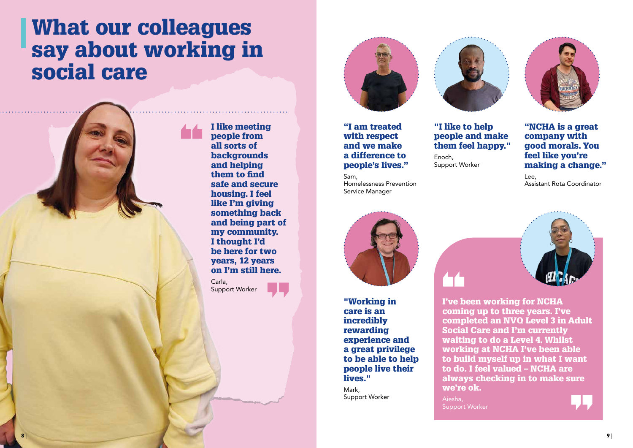"I am treated with respect and we make a difference to people's lives."

Sam,

Homelessness Prevention

Service Manager



people and make them feel happy."

Enoch, Support Worker





making a change."

Lee, Assistant Rota Coordinator



I've been working for NCHA coming up to three years. I've completed an NVQ Level 3 in Adult Social Care and I'm currently waiting to do a Level 4. Whilst working at NCHA I've been able to build myself up in what I want to do. I feel valued – NCHA are always checking in to make sure we're ok.

Aiesha, Support Worker

I like meeting people from all sorts of backgrounds and helping them to find safe and secure housing. I feel like I'm giving something back and being part of my community. I thought I'd be here for two years, 12 years on I'm still here.

Carla, Support Worker



"Working in care is an incredibly rewarding experience and a great privilege to be able to help people live their lives."

Mark, Support Worker

## What our colleagues say about working in social care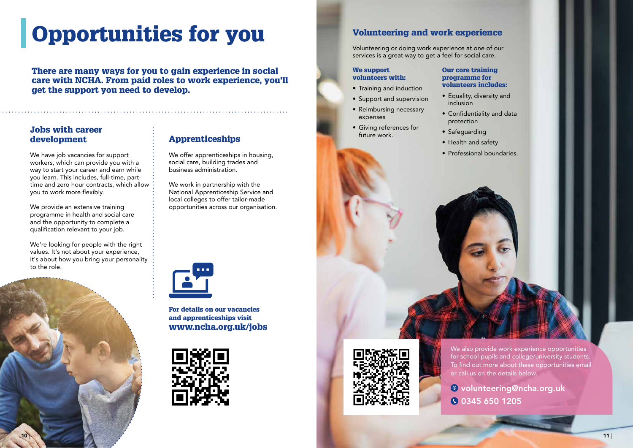# Opportunities for you



There are many ways for you to gain experience in social care with NCHA. From paid roles to work experience, you'll get the support you need to develop.

#### Jobs with career development

We have job vacancies for support workers, which can provide you with a way to start your career and earn while you learn. This includes, full-time, parttime and zero hour contracts, which allow you to work more flexibly.

We're looking for people with the right values. It's not about your experience, it's about how you bring your personality to the role.

We offer apprenticeships in housing, social care, building trades and business administration.

We provide an extensive training programme in health and social care and the opportunity to complete a qualification relevant to your job.

#### Apprenticeships

We work in partnership with the National Apprenticeship Service and local colleges to offer tailor-made opportunities across our organisation.



For details on our vacancies and apprenticeships visit www.ncha.org.uk/jobs



We also provide work experience opportunities for school pupils and college/university students. To find out more about these opportunities email or call us on the details below.

#### Volunteering and work experience

Volunteering or doing work experience at one of our services is a great way to get a feel for social care.

#### We support volunteers with:

- Training and induction
- Support and supervision
- Reimbursing necessary expenses
- Giving references for future work.

#### Our core training programme for volunteers includes:

- Equality, diversity and inclusion
- Confidentiality and data protection
- Safeguarding
- Health and safety
- 



• Professional boundaries.

volunteering@ncha.org.uk 0345 650 1205